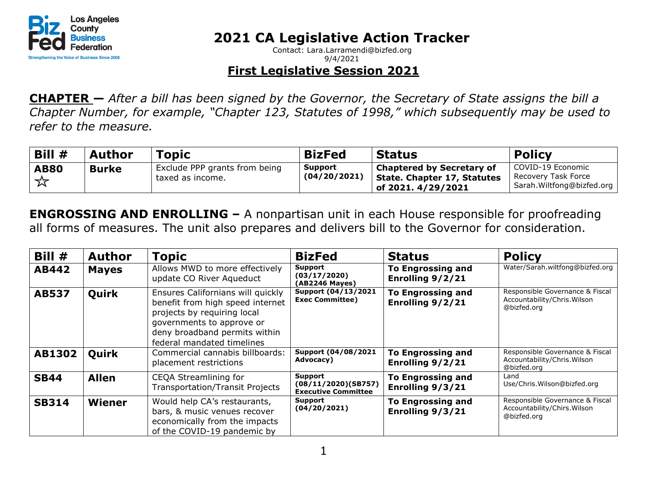

Contact: Lara.Larramendi@bizfed.org 9/4/2021

#### **First Legislative Session 2021**

**CHAPTER —** *After a bill has been signed by the Governor, the Secretary of State assigns the bill a Chapter Number, for example, "Chapter 123, Statutes of 1998," which subsequently may be used to refer to the measure.*

| Bill #           | <b>Author</b> | Topic                                             | <b>BizFed</b>                  | <b>Status</b>                                                                                              | <b>Policy</b>                                                         |
|------------------|---------------|---------------------------------------------------|--------------------------------|------------------------------------------------------------------------------------------------------------|-----------------------------------------------------------------------|
| <b>AB80</b><br>☆ | <b>Burke</b>  | Exclude PPP grants from being<br>taxed as income. | <b>Support</b><br>(04/20/2021) | <b>Chaptered by Secretary of</b><br><b>State. Chapter 17, Statutes</b><br>$\frac{1}{2}$ of 2021. 4/29/2021 | COVID-19 Economic<br>Recovery Task Force<br>Sarah.Wiltfong@bizfed.org |

**ENGROSSING AND ENROLLING –** A nonpartisan unit in each House responsible for proofreading all forms of measures. The unit also prepares and delivers bill to the Governor for consideration.

| Bill #       | <b>Author</b> | <b>Topic</b>                                                                                                                                                                                     | <b>BizFed</b>                                                | <b>Status</b>                                | <b>Policy</b>                                                                  |
|--------------|---------------|--------------------------------------------------------------------------------------------------------------------------------------------------------------------------------------------------|--------------------------------------------------------------|----------------------------------------------|--------------------------------------------------------------------------------|
| AB442        | <b>Mayes</b>  | Allows MWD to more effectively<br>update CO River Aqueduct                                                                                                                                       | Support<br>(03/17/2020)<br>(AB2246 Mayes)                    | <b>To Engrossing and</b><br>Enrolling 9/2/21 | Water/Sarah.wiltfong@bizfed.org                                                |
| <b>AB537</b> | Quirk         | Ensures Californians will quickly<br>benefit from high speed internet<br>projects by requiring local<br>governments to approve or<br>deny broadband permits within<br>federal mandated timelines | Support (04/13/2021<br><b>Exec Committee)</b>                | <b>To Engrossing and</b><br>Enrolling 9/2/21 | Responsible Governance & Fiscal<br>Accountability/Chris. Wilson<br>@bizfed.org |
| AB1302       | Quirk         | Commercial cannabis billboards:<br>placement restrictions                                                                                                                                        | Support (04/08/2021<br>Advocacy)                             | <b>To Engrossing and</b><br>Enrolling 9/2/21 | Responsible Governance & Fiscal<br>Accountability/Chris. Wilson<br>@bizfed.org |
| <b>SB44</b>  | <b>Allen</b>  | CEQA Streamlining for<br><b>Transportation/Transit Projects</b>                                                                                                                                  | Support<br>(08/11/2020)(SB757)<br><b>Executive Committee</b> | <b>To Engrossing and</b><br>Enrolling 9/3/21 | Land<br>Use/Chris.Wilson@bizfed.org                                            |
| <b>SB314</b> | Wiener        | Would help CA's restaurants,<br>bars, & music venues recover<br>economically from the impacts<br>of the COVID-19 pandemic by                                                                     | Support<br>(04/20/2021)                                      | <b>To Engrossing and</b><br>Enrolling 9/3/21 | Responsible Governance & Fiscal<br>Accountability/Chirs. Wilson<br>@bizfed.org |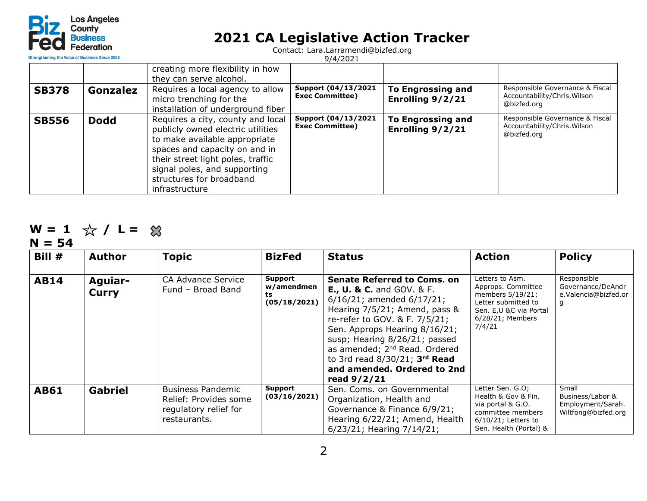

Contact: Lara.Larramendi@bizfed.org

| <b>Strengthening the Voice of Business Since 2008</b> |             |                                                                                                                                                                                                                                                             | 9/4/2021                                      |                                              |                                                                                |
|-------------------------------------------------------|-------------|-------------------------------------------------------------------------------------------------------------------------------------------------------------------------------------------------------------------------------------------------------------|-----------------------------------------------|----------------------------------------------|--------------------------------------------------------------------------------|
|                                                       |             | creating more flexibility in how<br>they can serve alcohol.                                                                                                                                                                                                 |                                               |                                              |                                                                                |
| <b>SB378</b>                                          | Gonzalez    | Requires a local agency to allow<br>micro trenching for the<br>installation of underground fiber                                                                                                                                                            | Support (04/13/2021<br><b>Exec Committee)</b> | <b>To Engrossing and</b><br>Enrolling 9/2/21 | Responsible Governance & Fiscal<br>Accountability/Chris. Wilson<br>@bizfed.org |
| <b>SB556</b>                                          | <b>Dodd</b> | Requires a city, county and local<br>publicly owned electric utilities<br>to make available appropriate<br>spaces and capacity on and in<br>their street light poles, traffic<br>signal poles, and supporting<br>structures for broadband<br>infrastructure | Support (04/13/2021<br><b>Exec Committee)</b> | <b>To Engrossing and</b><br>Enrolling 9/2/21 | Responsible Governance & Fiscal<br>Accountability/Chris. Wilson<br>@bizfed.org |

#### **W** = 1 ☆ / L =

**N = 54**

| Bill $#$    | <b>Author</b>    | <b>Topic</b>                                                                               | <b>BizFed</b>                               | <b>Status</b>                                                                                                                                                                                                                                                                                                                                                                      | <b>Action</b>                                                                                                                              | <b>Policy</b>                                                         |
|-------------|------------------|--------------------------------------------------------------------------------------------|---------------------------------------------|------------------------------------------------------------------------------------------------------------------------------------------------------------------------------------------------------------------------------------------------------------------------------------------------------------------------------------------------------------------------------------|--------------------------------------------------------------------------------------------------------------------------------------------|-----------------------------------------------------------------------|
| <b>AB14</b> | Aguiar-<br>Curry | CA Advance Service<br>Fund - Broad Band                                                    | Support<br>w/amendmen<br>ts<br>(05/18/2021) | <b>Senate Referred to Coms. on</b><br><b>E., U. &amp; C.</b> and GOV. & F.<br>$6/16/21$ ; amended $6/17/21$ ;<br>Hearing 7/5/21; Amend, pass &<br>re-refer to GOV. & F. 7/5/21;<br>Sen. Approps Hearing 8/16/21;<br>susp; Hearing 8/26/21; passed<br>as amended; 2 <sup>nd</sup> Read. Ordered<br>to 3rd read $8/30/21$ ; $3rd$ Read<br>and amended. Ordered to 2nd<br>read 9/2/21 | Letters to Asm.<br>Approps. Committee<br>members 5/19/21;<br>Letter submitted to<br>Sen. E, U & C via Portal<br>6/28/21; Members<br>7/4/21 | Responsible<br>Governance/DeAndr<br>e.Valencia@bizfed.or<br>q         |
| <b>AB61</b> | <b>Gabriel</b>   | <b>Business Pandemic</b><br>Relief: Provides some<br>regulatory relief for<br>restaurants. | Support<br>(03/16/2021)                     | Sen. Coms. on Governmental<br>Organization, Health and<br>Governance & Finance 6/9/21;<br>Hearing 6/22/21; Amend, Health<br>6/23/21; Hearing 7/14/21;                                                                                                                                                                                                                              | Letter Sen. G.O;<br>Health & Gov & Fin.<br>via portal & G.O.<br>committee members<br>$6/10/21$ ; Letters to<br>Sen. Health (Portal) &      | Small<br>Business/Labor &<br>Employment/Sarah.<br>Wiltfong@bizfed.org |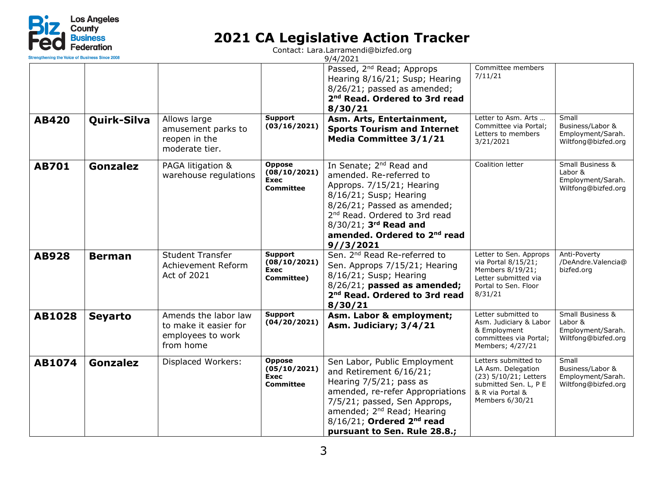

| Strengthening the Voice of Business Since 200 |                |                                                                                 |                                                                  | 9/4/2021                                                                                                                                                                                                                                                                            |                                                                                                                                     |                                                                                    |
|-----------------------------------------------|----------------|---------------------------------------------------------------------------------|------------------------------------------------------------------|-------------------------------------------------------------------------------------------------------------------------------------------------------------------------------------------------------------------------------------------------------------------------------------|-------------------------------------------------------------------------------------------------------------------------------------|------------------------------------------------------------------------------------|
|                                               |                |                                                                                 |                                                                  | Passed, 2 <sup>nd</sup> Read; Approps<br>Hearing 8/16/21; Susp; Hearing<br>8/26/21; passed as amended;<br>2 <sup>nd</sup> Read. Ordered to 3rd read<br>8/30/21                                                                                                                      | Committee members<br>7/11/21                                                                                                        |                                                                                    |
| <b>AB420</b>                                  | Quirk-Silva    | Allows large<br>amusement parks to<br>reopen in the<br>moderate tier.           | <b>Support</b><br>(03/16/2021)                                   | Asm. Arts, Entertainment,<br><b>Sports Tourism and Internet</b><br>Media Committee 3/1/21                                                                                                                                                                                           | Letter to Asm. Arts<br>Committee via Portal;<br>Letters to members<br>3/21/2021                                                     | Small<br>Business/Labor &<br>Employment/Sarah.<br>Wiltfong@bizfed.org              |
| <b>AB701</b>                                  | Gonzalez       | PAGA litigation &<br>warehouse regulations                                      | <b>Oppose</b><br>(08/10/2021)<br><b>Exec</b><br><b>Committee</b> | In Senate; 2 <sup>nd</sup> Read and<br>amended. Re-referred to<br>Approps. 7/15/21; Hearing<br>8/16/21; Susp; Hearing<br>8/26/21; Passed as amended;<br>2 <sup>nd</sup> Read. Ordered to 3rd read<br>8/30/21; 3rd Read and<br>amended. Ordered to 2 <sup>nd</sup> read<br>9//3/2021 | Coalition letter                                                                                                                    | <b>Small Business &amp;</b><br>Labor &<br>Employment/Sarah.<br>Wiltfong@bizfed.org |
| <b>AB928</b>                                  | <b>Berman</b>  | <b>Student Transfer</b><br>Achievement Reform<br>Act of 2021                    | <b>Support</b><br>(08/10/2021)<br>Exec<br>Committee)             | Sen. 2 <sup>nd</sup> Read Re-referred to<br>Sen. Approps 7/15/21; Hearing<br>8/16/21; Susp; Hearing<br>$8/26/21$ ; passed as amended;<br>2 <sup>nd</sup> Read. Ordered to 3rd read<br>8/30/21                                                                                       | Letter to Sen. Approps<br>via Portal 8/15/21;<br>Members 8/19/21;<br>Letter submitted via<br>Portal to Sen. Floor<br>8/31/21        | Anti-Poverty<br>/DeAndre.Valencia@<br>bizfed.org                                   |
| <b>AB1028</b>                                 | <b>Seyarto</b> | Amends the labor law<br>to make it easier for<br>employees to work<br>from home | <b>Support</b><br>(04/20/2021)                                   | Asm. Labor & employment;<br>Asm. Judiciary; 3/4/21                                                                                                                                                                                                                                  | Letter submitted to<br>Asm. Judiciary & Labor<br>& Employment<br>committees via Portal:<br>Members; 4/27/21                         | Small Business &<br>Labor &<br>Employment/Sarah.<br>Wiltfong@bizfed.org            |
| AB1074                                        | Gonzalez       | Displaced Workers:                                                              | <b>Oppose</b><br>(05/10/2021)<br>Exec<br>Committee               | Sen Labor, Public Employment<br>and Retirement 6/16/21;<br>Hearing 7/5/21; pass as<br>amended, re-refer Appropriations<br>7/5/21; passed, Sen Approps,<br>amended; 2 <sup>nd</sup> Read; Hearing<br>$8/16/21$ ; Ordered $2nd$ read<br>pursuant to Sen. Rule 28.8.;                  | Letters submitted to<br>LA Asm. Delegation<br>(23) 5/10/21; Letters<br>submitted Sen. L, P E<br>& R via Portal &<br>Members 6/30/21 | Small<br>Business/Labor &<br>Employment/Sarah.<br>Wiltfong@bizfed.org              |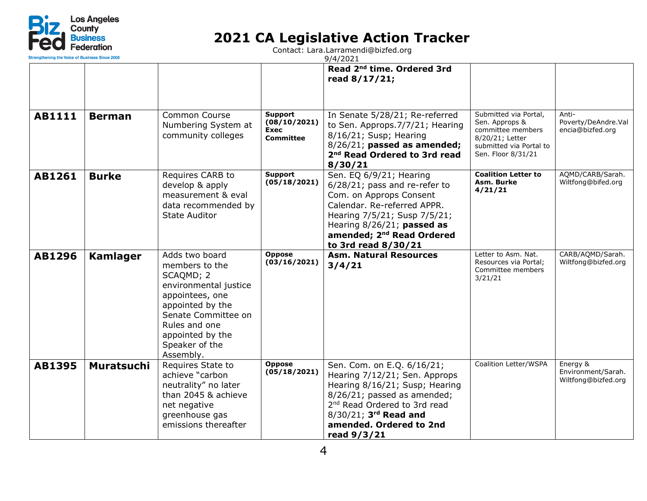

| <b>Strengthening the Voice of Business Since 2008</b> |                   |                                                                                                                                                                                                          |                                                                   | 9/4/2021                                                                                                                                                                                                                                            |                                                                                                                                  |                                                       |
|-------------------------------------------------------|-------------------|----------------------------------------------------------------------------------------------------------------------------------------------------------------------------------------------------------|-------------------------------------------------------------------|-----------------------------------------------------------------------------------------------------------------------------------------------------------------------------------------------------------------------------------------------------|----------------------------------------------------------------------------------------------------------------------------------|-------------------------------------------------------|
|                                                       |                   |                                                                                                                                                                                                          |                                                                   | Read 2 <sup>nd</sup> time. Ordered 3rd<br>read 8/17/21;                                                                                                                                                                                             |                                                                                                                                  |                                                       |
| <b>AB1111</b>                                         | <b>Berman</b>     | Common Course<br>Numbering System at<br>community colleges                                                                                                                                               | <b>Support</b><br>(08/10/2021)<br><b>Exec</b><br><b>Committee</b> | In Senate 5/28/21; Re-referred<br>to Sen. Approps.7/7/21; Hearing<br>8/16/21; Susp; Hearing<br>$8/26/21$ ; passed as amended;<br>2 <sup>nd</sup> Read Ordered to 3rd read<br>8/30/21                                                                | Submitted via Portal,<br>Sen. Approps &<br>committee members<br>8/20/21; Letter<br>submitted via Portal to<br>Sen. Floor 8/31/21 | Anti-<br>Poverty/DeAndre.Val<br>encia@bizfed.org      |
| AB1261                                                | <b>Burke</b>      | Requires CARB to<br>develop & apply<br>measurement & eval<br>data recommended by<br><b>State Auditor</b>                                                                                                 | <b>Support</b><br>(05/18/2021)                                    | Sen. EQ 6/9/21; Hearing<br>6/28/21; pass and re-refer to<br>Com. on Approps Consent<br>Calendar, Re-referred APPR.<br>Hearing 7/5/21; Susp 7/5/21;<br>Hearing $8/26/21$ ; passed as<br>amended; 2 <sup>nd</sup> Read Ordered<br>to 3rd read 8/30/21 | <b>Coalition Letter to</b><br>Asm. Burke<br>4/21/21                                                                              | AQMD/CARB/Sarah.<br>Wiltfong@bifed.org                |
| <b>AB1296</b>                                         | <b>Kamlager</b>   | Adds two board<br>members to the<br>SCAQMD; 2<br>environmental justice<br>appointees, one<br>appointed by the<br>Senate Committee on<br>Rules and one<br>appointed by the<br>Speaker of the<br>Assembly. | <b>Oppose</b><br>(03/16/2021)                                     | <b>Asm. Natural Resources</b><br>3/4/21                                                                                                                                                                                                             | Letter to Asm. Nat.<br>Resources via Portal;<br>Committee members<br>3/21/21                                                     | CARB/AQMD/Sarah.<br>Wiltfong@bizfed.org               |
| AB1395                                                | <b>Muratsuchi</b> | Requires State to<br>achieve "carbon<br>neutrality" no later<br>than 2045 & achieve<br>net negative<br>greenhouse gas<br>emissions thereafter                                                            | <b>Oppose</b><br>(05/18/2021)                                     | Sen. Com. on E.Q. 6/16/21;<br>Hearing 7/12/21; Sen. Approps<br>Hearing 8/16/21; Susp; Hearing<br>8/26/21; passed as amended;<br>2 <sup>nd</sup> Read Ordered to 3rd read<br>8/30/21; 3rd Read and<br>amended. Ordered to 2nd<br>read 9/3/21         | Coalition Letter/WSPA                                                                                                            | Energy &<br>Environment/Sarah.<br>Wiltfong@bizfed.org |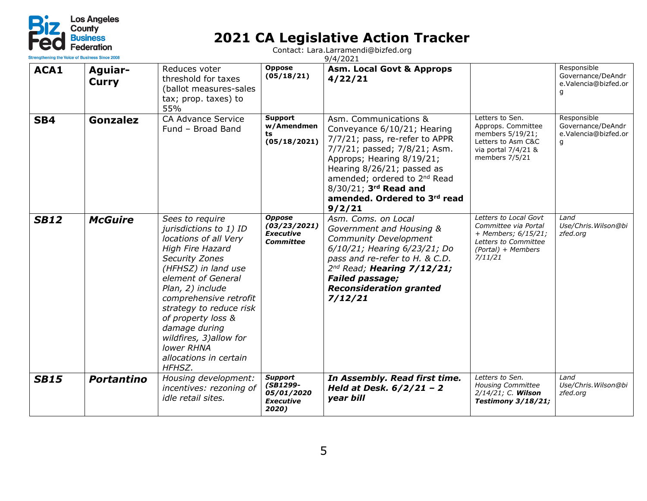

| Strengthening the Voice of Business Since 2008 |                         |                                                                                                                                                                                                                                                                                                                                                                        |                                                                       | 9/4/2021                                                                                                                                                                                                                                                                                         |                                                                                                                               |                                                               |
|------------------------------------------------|-------------------------|------------------------------------------------------------------------------------------------------------------------------------------------------------------------------------------------------------------------------------------------------------------------------------------------------------------------------------------------------------------------|-----------------------------------------------------------------------|--------------------------------------------------------------------------------------------------------------------------------------------------------------------------------------------------------------------------------------------------------------------------------------------------|-------------------------------------------------------------------------------------------------------------------------------|---------------------------------------------------------------|
| ACA1                                           | Aguiar-<br><b>Curry</b> | Reduces voter<br>threshold for taxes<br>(ballot measures-sales<br>tax; prop. taxes) to<br>55%                                                                                                                                                                                                                                                                          | <b>Oppose</b><br>(05/18/21)                                           | <b>Asm. Local Govt &amp; Approps</b><br>4/22/21                                                                                                                                                                                                                                                  |                                                                                                                               | Responsible<br>Governance/DeAndr<br>e.Valencia@bizfed.or<br>g |
| SB4                                            | Gonzalez                | <b>CA Advance Service</b><br>Fund - Broad Band                                                                                                                                                                                                                                                                                                                         | Support<br>w/Amendmen<br>ts<br>(05/18/2021)                           | Asm. Communications &<br>Conveyance 6/10/21; Hearing<br>7/7/21; pass, re-refer to APPR<br>7/7/21; passed; 7/8/21; Asm.<br>Approps; Hearing 8/19/21;<br>Hearing 8/26/21; passed as<br>amended; ordered to 2 <sup>nd</sup> Read<br>8/30/21; 3rd Read and<br>amended. Ordered to 3rd read<br>9/2/21 | Letters to Sen.<br>Approps. Committee<br>members 5/19/21;<br>Letters to Asm C&C<br>via portal 7/4/21 &<br>members 7/5/21      | Responsible<br>Governance/DeAndr<br>e.Valencia@bizfed.or<br>g |
| <b>SB12</b>                                    | <b>McGuire</b>          | Sees to require<br>jurisdictions to 1) ID<br>locations of all Very<br><b>High Fire Hazard</b><br><b>Security Zones</b><br>(HFHSZ) in land use<br>element of General<br>Plan, 2) include<br>comprehensive retrofit<br>strategy to reduce risk<br>of property loss &<br>damage during<br>wildfires, 3)allow for<br><b>lower RHNA</b><br>allocations in certain<br>HFHSZ. | <b>Oppose</b><br>(03/23/2021)<br><b>Executive</b><br><b>Committee</b> | Asm. Coms. on Local<br>Government and Housing &<br><b>Community Development</b><br>6/10/21; Hearing 6/23/21; Do<br>pass and re-refer to H. & C.D.<br>$2^{nd}$ Read; Hearing $7/12/21$ ;<br><b>Failed passage;</b><br><b>Reconsideration granted</b><br>7/12/21                                   | Letters to Local Govt<br>Committee via Portal<br>+ Members; 6/15/21;<br>Letters to Committee<br>(Portal) + Members<br>7/11/21 | Land<br>Use/Chris. Wilson@bi<br>zfed.org                      |
| <b>SB15</b>                                    | <b>Portantino</b>       | Housing development:<br>incentives: rezoning of<br>idle retail sites.                                                                                                                                                                                                                                                                                                  | <b>Support</b><br>(SB1299-<br>05/01/2020<br><b>Executive</b><br>2020) | In Assembly. Read first time.<br>Held at Desk. $6/2/21 - 2$<br>year bill                                                                                                                                                                                                                         | Letters to Sen.<br><b>Housing Committee</b><br>2/14/21; C. Wilson<br><b>Testimony 3/18/21;</b>                                | Land<br>Use/Chris. Wilson@bi<br>zfed.org                      |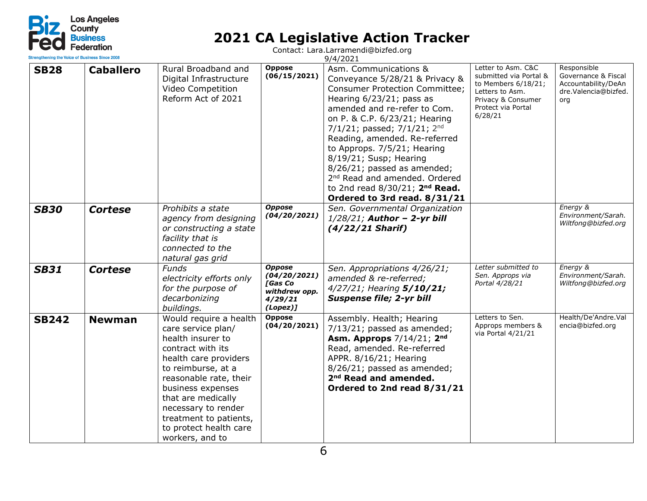

| Strengthening the Voice of Business Since 200 |                  |                                                                                                                                                                                                                                                                                                          |                                                                                                          | 9/4/2021                                                                                                                                                                                                                                                                                                                                                                                                                                                                                 |                                                                                                                                               |                                                                                          |  |
|-----------------------------------------------|------------------|----------------------------------------------------------------------------------------------------------------------------------------------------------------------------------------------------------------------------------------------------------------------------------------------------------|----------------------------------------------------------------------------------------------------------|------------------------------------------------------------------------------------------------------------------------------------------------------------------------------------------------------------------------------------------------------------------------------------------------------------------------------------------------------------------------------------------------------------------------------------------------------------------------------------------|-----------------------------------------------------------------------------------------------------------------------------------------------|------------------------------------------------------------------------------------------|--|
| <b>SB28</b>                                   | <b>Caballero</b> | Rural Broadband and<br>Digital Infrastructure<br>Video Competition<br>Reform Act of 2021                                                                                                                                                                                                                 | <b>Oppose</b><br>(06/15/2021)                                                                            | Asm. Communications &<br>Conveyance 5/28/21 & Privacy &<br><b>Consumer Protection Committee;</b><br>Hearing 6/23/21; pass as<br>amended and re-refer to Com.<br>on P. & C.P. 6/23/21; Hearing<br>7/1/21; passed; $7/1/21$ ; 2 <sup>nd</sup><br>Reading, amended. Re-referred<br>to Approps. 7/5/21; Hearing<br>8/19/21; Susp; Hearing<br>8/26/21; passed as amended;<br>2 <sup>nd</sup> Read and amended. Ordered<br>to 2nd read $8/30/21$ ; $2nd Read.$<br>Ordered to 3rd read. 8/31/21 | Letter to Asm. C&C<br>submitted via Portal &<br>to Members 6/18/21;<br>Letters to Asm.<br>Privacy & Consumer<br>Protect via Portal<br>6/28/21 | Responsible<br>Governance & Fiscal<br>Accountability/DeAn<br>dre.Valencia@bizfed.<br>org |  |
| <b>SB30</b>                                   | <b>Cortese</b>   | Prohibits a state<br>agency from designing<br>or constructing a state<br>facility that is<br>connected to the<br>natural gas grid                                                                                                                                                                        | <b>Oppose</b><br>(04/20/2021)                                                                            | Sen. Governmental Organization<br>$1/28/21$ ; Author - 2-yr bill<br>$(4/22/21$ Sharif)                                                                                                                                                                                                                                                                                                                                                                                                   |                                                                                                                                               | Energy &<br>Environment/Sarah.<br>Wiltfong@bizfed.org                                    |  |
| <b>SB31</b>                                   | <b>Cortese</b>   | <b>Funds</b><br>electricity efforts only<br>for the purpose of<br>decarbonizing<br>buildings.                                                                                                                                                                                                            | <b>Oppose</b><br>(04/20/2021)<br><b><i><u>FGas Co</u></i></b><br>withdrew opp.<br>4/29/21<br>$(Lopez)$ ] | Sen. Appropriations 4/26/21;<br>amended & re-referred;<br>4/27/21; Hearing 5/10/21;<br><b>Suspense file; 2-yr bill</b>                                                                                                                                                                                                                                                                                                                                                                   | Letter submitted to<br>Sen. Approps via<br>Portal 4/28/21                                                                                     | Energy &<br>Environment/Sarah.<br>Wiltfong@bizfed.org                                    |  |
| <b>SB242</b>                                  | <b>Newman</b>    | Would require a health<br>care service plan/<br>health insurer to<br>contract with its<br>health care providers<br>to reimburse, at a<br>reasonable rate, their<br>business expenses<br>that are medically<br>necessary to render<br>treatment to patients,<br>to protect health care<br>workers, and to | <b>Oppose</b><br>(04/20/2021)                                                                            | Assembly. Health; Hearing<br>7/13/21; passed as amended;<br><b>Asm. Approps</b> 7/14/21; 2 <sup>nd</sup><br>Read, amended. Re-referred<br>APPR. 8/16/21; Hearing<br>8/26/21; passed as amended;<br>2 <sup>nd</sup> Read and amended.<br>Ordered to 2nd read 8/31/21                                                                                                                                                                                                                      | Letters to Sen.<br>Approps members &<br>via Portal 4/21/21                                                                                    | Health/De'Andre.Val<br>encia@bizfed.org                                                  |  |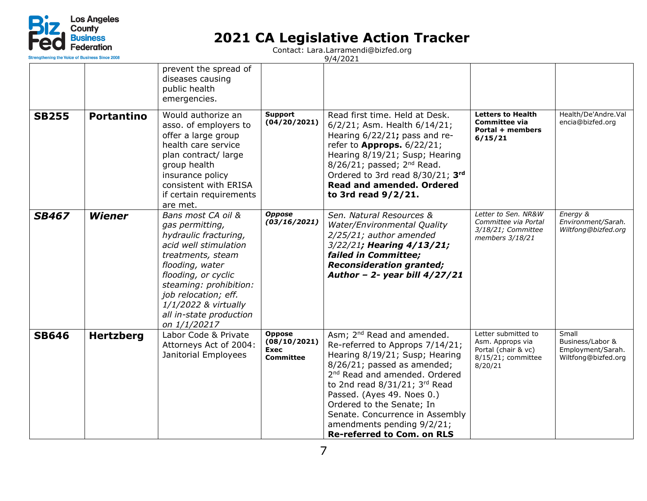

| Strengthening the Voice of Business Since 200 |                   |                                                                                                                                                                                                                                                                             |                                                                  | 9/4/2021                                                                                                                                                                                                                                                                                                                                                                                     |                                                                                                 |                                                                       |
|-----------------------------------------------|-------------------|-----------------------------------------------------------------------------------------------------------------------------------------------------------------------------------------------------------------------------------------------------------------------------|------------------------------------------------------------------|----------------------------------------------------------------------------------------------------------------------------------------------------------------------------------------------------------------------------------------------------------------------------------------------------------------------------------------------------------------------------------------------|-------------------------------------------------------------------------------------------------|-----------------------------------------------------------------------|
|                                               |                   | prevent the spread of<br>diseases causing<br>public health<br>emergencies.                                                                                                                                                                                                  |                                                                  |                                                                                                                                                                                                                                                                                                                                                                                              |                                                                                                 |                                                                       |
| <b>SB255</b>                                  | <b>Portantino</b> | Would authorize an<br>asso. of employers to<br>offer a large group<br>health care service<br>plan contract/ large<br>group health<br>insurance policy<br>consistent with ERISA<br>if certain requirements<br>are met.                                                       | Support<br>(04/20/2021)                                          | Read first time. Held at Desk.<br>6/2/21; Asm. Health 6/14/21;<br>Hearing 6/22/21; pass and re-<br>refer to <b>Approps.</b> $6/22/21$ ;<br>Hearing 8/19/21; Susp; Hearing<br>$8/26/21$ ; passed; $2nd$ Read.<br>Ordered to 3rd read 8/30/21; 3rd<br><b>Read and amended. Ordered</b><br>to 3rd read 9/2/21.                                                                                  | <b>Letters to Health</b><br><b>Committee via</b><br>Portal + members<br>6/15/21                 | Health/De'Andre.Val<br>encia@bizfed.org                               |
| <b>SB467</b>                                  | <b>Wiener</b>     | Bans most CA oil &<br>gas permitting,<br>hydraulic fracturing,<br>acid well stimulation<br>treatments, steam<br>flooding, water<br>flooding, or cyclic<br>steaming: prohibition:<br>job relocation; eff.<br>1/1/2022 & virtually<br>all in-state production<br>on 1/1/20217 | <b>Oppose</b><br>(03/16/2021)                                    | Sen. Natural Resources &<br>Water/Environmental Quality<br>2/25/21; author amended<br>3/22/21; Hearing 4/13/21;<br>failed in Committee;<br><b>Reconsideration granted;</b><br>Author - 2- year bill $4/27/21$                                                                                                                                                                                | Letter to Sen. NR&W<br>Committee via Portal<br>3/18/21; Committee<br>members 3/18/21            | Energy &<br>Environment/Sarah.<br>Wiltfong@bizfed.org                 |
| <b>SB646</b>                                  | <b>Hertzberg</b>  | Labor Code & Private<br>Attorneys Act of 2004:<br>Janitorial Employees                                                                                                                                                                                                      | <b>Oppose</b><br>(08/10/2021)<br><b>Exec</b><br><b>Committee</b> | Asm; 2 <sup>nd</sup> Read and amended.<br>Re-referred to Approps 7/14/21;<br>Hearing 8/19/21; Susp; Hearing<br>8/26/21; passed as amended;<br>2 <sup>nd</sup> Read and amended. Ordered<br>to 2nd read $8/31/21$ ; 3rd Read<br>Passed. (Ayes 49. Noes 0.)<br>Ordered to the Senate; In<br>Senate. Concurrence in Assembly<br>amendments pending 9/2/21;<br><b>Re-referred to Com. on RLS</b> | Letter submitted to<br>Asm. Approps via<br>Portal (chair & vc)<br>8/15/21; committee<br>8/20/21 | Small<br>Business/Labor &<br>Employment/Sarah.<br>Wiltfong@bizfed.org |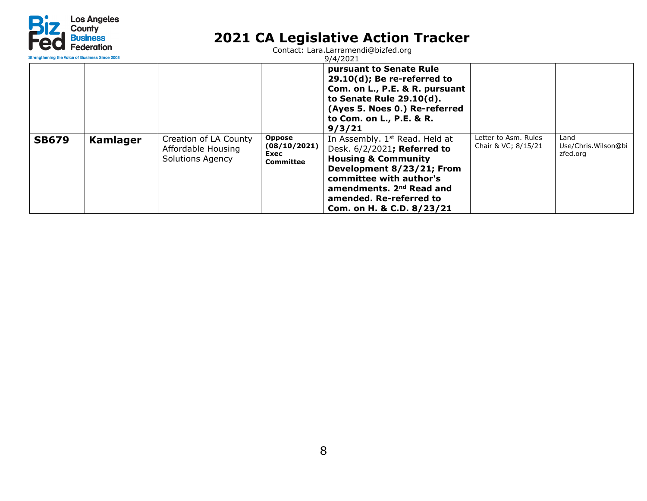

| <b>Strenathening the Voice of Business Since 2008</b> |          |                                                                        |                                                    | 9/4/2021                                                                                                                                                                                                                                                            |                                             |                                         |
|-------------------------------------------------------|----------|------------------------------------------------------------------------|----------------------------------------------------|---------------------------------------------------------------------------------------------------------------------------------------------------------------------------------------------------------------------------------------------------------------------|---------------------------------------------|-----------------------------------------|
|                                                       |          |                                                                        |                                                    | pursuant to Senate Rule<br>$29.10(d)$ ; Be re-referred to<br>Com. on L., P.E. & R. pursuant<br>to Senate Rule 29.10(d).<br>(Ayes 5. Noes 0.) Re-referred<br>to Com. on L., P.E. & R.<br>9/3/21                                                                      |                                             |                                         |
| <b>SB679</b>                                          | Kamlager | Creation of LA County<br>Affordable Housing<br><b>Solutions Agency</b> | <b>Oppose</b><br>(08/10/2021)<br>Exec<br>Committee | In Assembly. 1 <sup>st</sup> Read. Held at<br>Desk. 6/2/2021; Referred to<br><b>Housing &amp; Community</b><br>Development 8/23/21; From<br>committee with author's<br>amendments. 2 <sup>nd</sup> Read and<br>amended. Re-referred to<br>Com. on H. & C.D. 8/23/21 | Letter to Asm. Rules<br>Chair & VC; 8/15/21 | Land<br>Use/Chris.Wilson@bi<br>zfed.org |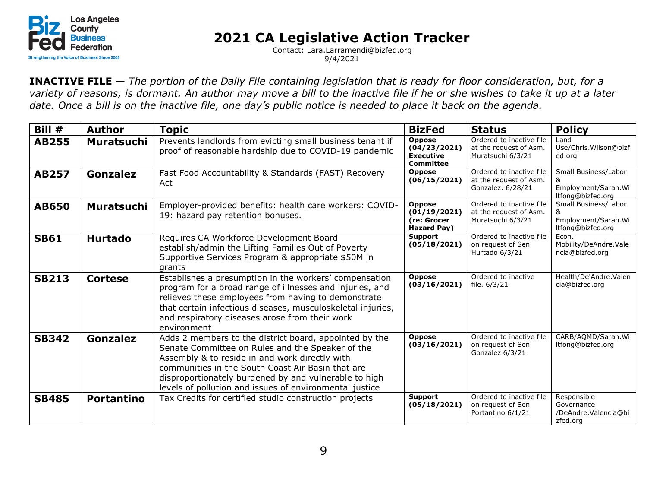

Contact: Lara.Larramendi@bizfed.org 9/4/2021

**INACTIVE FILE —** *The portion of the Daily File containing legislation that is ready for floor consideration, but, for a variety of reasons, is dormant. An author may move a bill to the inactive file if he or she wishes to take it up at a later date. Once a bill is on the inactive file, one day's public notice is needed to place it back on the agenda.*

| Bill $#$     | <b>Author</b>     | <b>Topic</b>                                                                                                                                                                                                                                                                                                                          | <b>BizFed</b>                                                         | <b>Status</b>                                                           | <b>Policy</b>                                                         |
|--------------|-------------------|---------------------------------------------------------------------------------------------------------------------------------------------------------------------------------------------------------------------------------------------------------------------------------------------------------------------------------------|-----------------------------------------------------------------------|-------------------------------------------------------------------------|-----------------------------------------------------------------------|
| <b>AB255</b> | <b>Muratsuchi</b> | Prevents landlords from evicting small business tenant if<br>proof of reasonable hardship due to COVID-19 pandemic                                                                                                                                                                                                                    | <b>Oppose</b><br>(04/23/2021)<br><b>Executive</b><br><b>Committee</b> | Ordered to inactive file<br>at the request of Asm.<br>Muratsuchi 6/3/21 | Land<br>Use/Chris.Wilson@bizf<br>ed.org                               |
| <b>AB257</b> | Gonzalez          | Fast Food Accountability & Standards (FAST) Recovery<br>Act                                                                                                                                                                                                                                                                           | <b>Oppose</b><br>(06/15/2021)                                         | Ordered to inactive file<br>at the request of Asm.<br>Gonzalez. 6/28/21 | Small Business/Labor<br>Employment/Sarah.Wi<br>ltfong@bizfed.org      |
| <b>AB650</b> | <b>Muratsuchi</b> | Employer-provided benefits: health care workers: COVID-<br>19: hazard pay retention bonuses.                                                                                                                                                                                                                                          | <b>Oppose</b><br>(01/19/2021)<br>(re: Grocer<br>Hazard Pay)           | Ordered to inactive file<br>at the request of Asm.<br>Muratsuchi 6/3/21 | Small Business/Labor<br>&<br>Employment/Sarah.Wi<br>ltfong@bizfed.org |
| <b>SB61</b>  | <b>Hurtado</b>    | Requires CA Workforce Development Board<br>establish/admin the Lifting Families Out of Poverty<br>Supportive Services Program & appropriate \$50M in<br>grants                                                                                                                                                                        | Support<br>(05/18/2021)                                               | Ordered to inactive file<br>on request of Sen.<br>Hurtado 6/3/21        | Econ.<br>Mobility/DeAndre.Vale<br>ncia@bizfed.org                     |
| <b>SB213</b> | <b>Cortese</b>    | Establishes a presumption in the workers' compensation<br>program for a broad range of illnesses and injuries, and<br>relieves these employees from having to demonstrate<br>that certain infectious diseases, musculoskeletal injuries,<br>and respiratory diseases arose from their work<br>environment                             | <b>Oppose</b><br>(03/16/2021)                                         | Ordered to inactive<br>file. 6/3/21                                     | Health/De'Andre.Valen<br>cia@bizfed.org                               |
| <b>SB342</b> | <b>Gonzalez</b>   | Adds 2 members to the district board, appointed by the<br>Senate Committee on Rules and the Speaker of the<br>Assembly & to reside in and work directly with<br>communities in the South Coast Air Basin that are<br>disproportionately burdened by and vulnerable to high<br>levels of pollution and issues of environmental justice | <b>Oppose</b><br>(03/16/2021)                                         | Ordered to inactive file<br>on request of Sen.<br>Gonzalez 6/3/21       | CARB/AQMD/Sarah.Wi<br>ltfong@bizfed.org                               |
| <b>SB485</b> | <b>Portantino</b> | Tax Credits for certified studio construction projects                                                                                                                                                                                                                                                                                | Support<br>(05/18/2021)                                               | Ordered to inactive file<br>on request of Sen.<br>Portantino 6/1/21     | Responsible<br>Governance<br>/DeAndre.Valencia@bi<br>zfed.org         |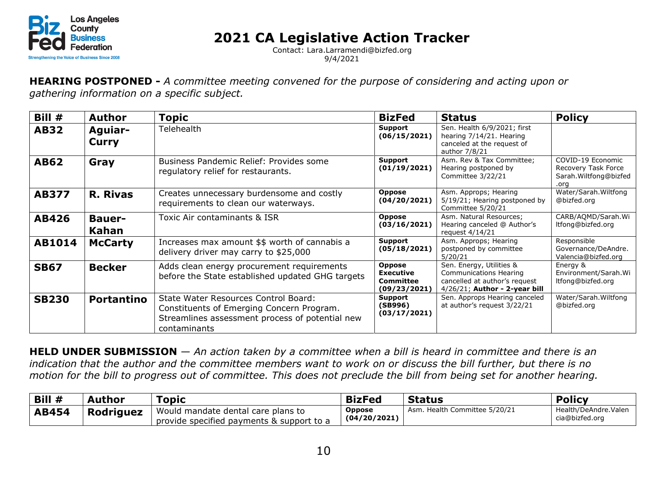

Contact: Lara.Larramendi@bizfed.org 9/4/2021

**HEARING POSTPONED -** *A committee meeting convened for the purpose of considering and acting upon or gathering information on a specific subject.*

| Bill #       | <b>Author</b>                  | <b>Topic</b>                                                                                                                                         | <b>BizFed</b>                                                  | <b>Status</b>                                                                                                           | <b>Policy</b>                                                              |
|--------------|--------------------------------|------------------------------------------------------------------------------------------------------------------------------------------------------|----------------------------------------------------------------|-------------------------------------------------------------------------------------------------------------------------|----------------------------------------------------------------------------|
| <b>AB32</b>  | <b>Aguiar-</b><br><b>Curry</b> | Telehealth                                                                                                                                           | Support<br>(06/15/2021)                                        | Sen. Health 6/9/2021; first<br>hearing 7/14/21. Hearing<br>canceled at the request of<br>author 7/8/21                  |                                                                            |
| <b>AB62</b>  | Gray                           | Business Pandemic Relief: Provides some<br>regulatory relief for restaurants.                                                                        | Support<br>(01/19/2021)                                        | Asm. Rev & Tax Committee;<br>Hearing postponed by<br>Committee 3/22/21                                                  | COVID-19 Economic<br>Recovery Task Force<br>Sarah. Wiltfong@bizfed<br>.ora |
| <b>AB377</b> | <b>R. Rivas</b>                | Creates unnecessary burdensome and costly<br>requirements to clean our waterways.                                                                    | <b>Oppose</b><br>(04/20/2021)                                  | Asm. Approps; Hearing<br>5/19/21; Hearing postponed by<br>Committee 5/20/21                                             | Water/Sarah. Wiltfong<br>@bizfed.org                                       |
| <b>AB426</b> | <b>Bauer-</b><br>Kahan         | Toxic Air contaminants & ISR                                                                                                                         | <b>Oppose</b><br>(03/16/2021)                                  | Asm. Natural Resources;<br>Hearing canceled @ Author's<br>request $4/14/21$                                             | CARB/AQMD/Sarah.Wi<br>ltfong@bizfed.org                                    |
| AB1014       | <b>McCarty</b>                 | Increases max amount \$\$ worth of cannabis a<br>delivery driver may carry to \$25,000                                                               | Support<br>(05/18/2021)                                        | Asm. Approps; Hearing<br>postponed by committee<br>5/20/21                                                              | Responsible<br>Governance/DeAndre.<br>Valencia@bizfed.org                  |
| <b>SB67</b>  | <b>Becker</b>                  | Adds clean energy procurement requirements<br>before the State established updated GHG targets                                                       | <b>Oppose</b><br><b>Executive</b><br>Committee<br>(09/23/2021) | Sen. Energy, Utilities &<br>Communications Hearing<br>cancelled at author's request<br>$4/26/21$ ; Author - 2-year bill | Energy &<br>Environment/Sarah. Wi<br>ltfong@bizfed.org                     |
| <b>SB230</b> | <b>Portantino</b>              | State Water Resources Control Board:<br>Constituents of Emerging Concern Program.<br>Streamlines assessment process of potential new<br>contaminants | Support<br>(SB996)<br>(03/17/2021)                             | Sen. Approps Hearing canceled<br>at author's request 3/22/21                                                            | Water/Sarah. Wiltfong<br>@bizfed.org                                       |

**HELD UNDER SUBMISSION** — *An action taken by a committee when a bill is heard in committee and there is an indication that the author and the committee members want to work on or discuss the bill further, but there is no motion for the bill to progress out of committee. This does not preclude the bill from being set for another hearing.*

| $\vert$ Bill $\#$ | Author    | Topic                                                                           | <b>BizFed</b>                 | <b>Status</b>                 | <b>Policy</b>                          |
|-------------------|-----------|---------------------------------------------------------------------------------|-------------------------------|-------------------------------|----------------------------------------|
| <b>AB454</b>      | Rodriguez | Would mandate dental care plans to<br>provide specified payments & support to a | <b>Oppose</b><br>(04/20/2021) | Asm. Health Committee 5/20/21 | Health/DeAndre.Valen<br>cia@bizfed.org |